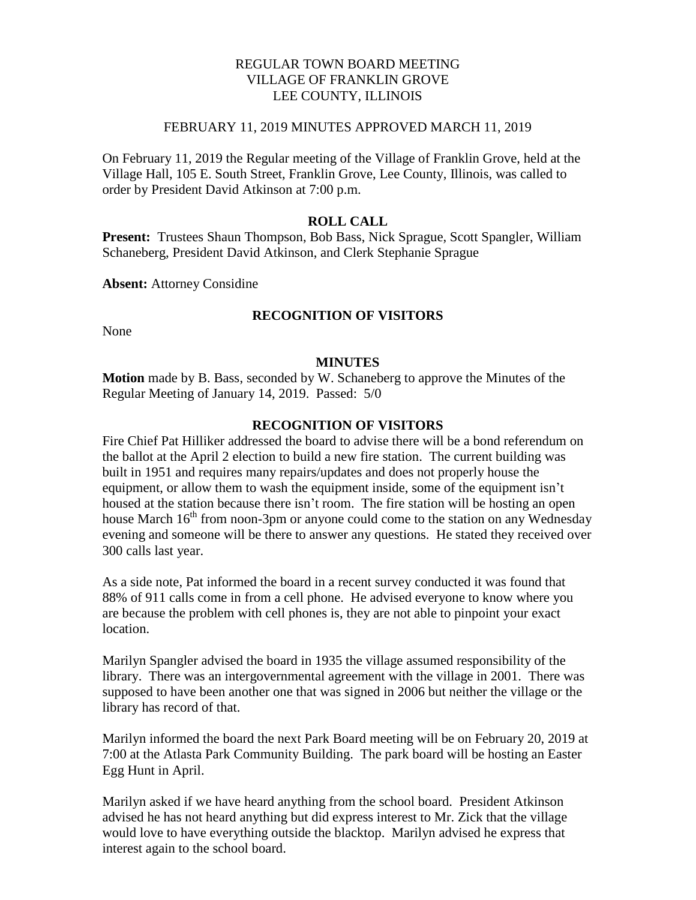## REGULAR TOWN BOARD MEETING VILLAGE OF FRANKLIN GROVE LEE COUNTY, ILLINOIS

### FEBRUARY 11, 2019 MINUTES APPROVED MARCH 11, 2019

On February 11, 2019 the Regular meeting of the Village of Franklin Grove, held at the Village Hall, 105 E. South Street, Franklin Grove, Lee County, Illinois, was called to order by President David Atkinson at 7:00 p.m.

## **ROLL CALL**

**Present:** Trustees Shaun Thompson, Bob Bass, Nick Sprague, Scott Spangler, William Schaneberg, President David Atkinson, and Clerk Stephanie Sprague

**Absent:** Attorney Considine

# **RECOGNITION OF VISITORS**

None

### **MINUTES**

**Motion** made by B. Bass, seconded by W. Schaneberg to approve the Minutes of the Regular Meeting of January 14, 2019. Passed: 5/0

## **RECOGNITION OF VISITORS**

Fire Chief Pat Hilliker addressed the board to advise there will be a bond referendum on the ballot at the April 2 election to build a new fire station. The current building was built in 1951 and requires many repairs/updates and does not properly house the equipment, or allow them to wash the equipment inside, some of the equipment isn't housed at the station because there isn't room. The fire station will be hosting an open house March  $16<sup>th</sup>$  from noon-3pm or anyone could come to the station on any Wednesday evening and someone will be there to answer any questions. He stated they received over 300 calls last year.

As a side note, Pat informed the board in a recent survey conducted it was found that 88% of 911 calls come in from a cell phone. He advised everyone to know where you are because the problem with cell phones is, they are not able to pinpoint your exact location.

Marilyn Spangler advised the board in 1935 the village assumed responsibility of the library. There was an intergovernmental agreement with the village in 2001. There was supposed to have been another one that was signed in 2006 but neither the village or the library has record of that.

Marilyn informed the board the next Park Board meeting will be on February 20, 2019 at 7:00 at the Atlasta Park Community Building. The park board will be hosting an Easter Egg Hunt in April.

Marilyn asked if we have heard anything from the school board. President Atkinson advised he has not heard anything but did express interest to Mr. Zick that the village would love to have everything outside the blacktop. Marilyn advised he express that interest again to the school board.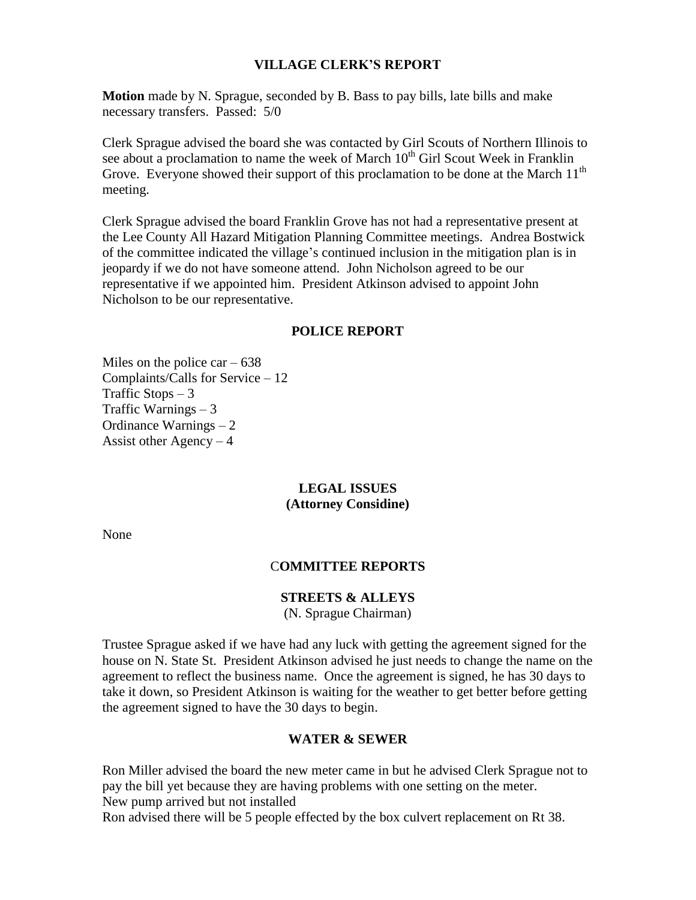## **VILLAGE CLERK'S REPORT**

**Motion** made by N. Sprague, seconded by B. Bass to pay bills, late bills and make necessary transfers. Passed: 5/0

Clerk Sprague advised the board she was contacted by Girl Scouts of Northern Illinois to see about a proclamation to name the week of March  $10<sup>th</sup>$  Girl Scout Week in Franklin Grove. Everyone showed their support of this proclamation to be done at the March 11<sup>th</sup> meeting.

Clerk Sprague advised the board Franklin Grove has not had a representative present at the Lee County All Hazard Mitigation Planning Committee meetings. Andrea Bostwick of the committee indicated the village's continued inclusion in the mitigation plan is in jeopardy if we do not have someone attend. John Nicholson agreed to be our representative if we appointed him. President Atkinson advised to appoint John Nicholson to be our representative.

#### **POLICE REPORT**

Miles on the police car  $-638$ Complaints/Calls for Service – 12 Traffic Stops  $-3$ Traffic Warnings  $-3$ Ordinance Warnings – 2 Assist other  $Agency - 4$ 

## **LEGAL ISSUES (Attorney Considine)**

None

#### C**OMMITTEE REPORTS**

#### **STREETS & ALLEYS**

(N. Sprague Chairman)

Trustee Sprague asked if we have had any luck with getting the agreement signed for the house on N. State St. President Atkinson advised he just needs to change the name on the agreement to reflect the business name. Once the agreement is signed, he has 30 days to take it down, so President Atkinson is waiting for the weather to get better before getting the agreement signed to have the 30 days to begin.

#### **WATER & SEWER**

Ron Miller advised the board the new meter came in but he advised Clerk Sprague not to pay the bill yet because they are having problems with one setting on the meter. New pump arrived but not installed

Ron advised there will be 5 people effected by the box culvert replacement on Rt 38.